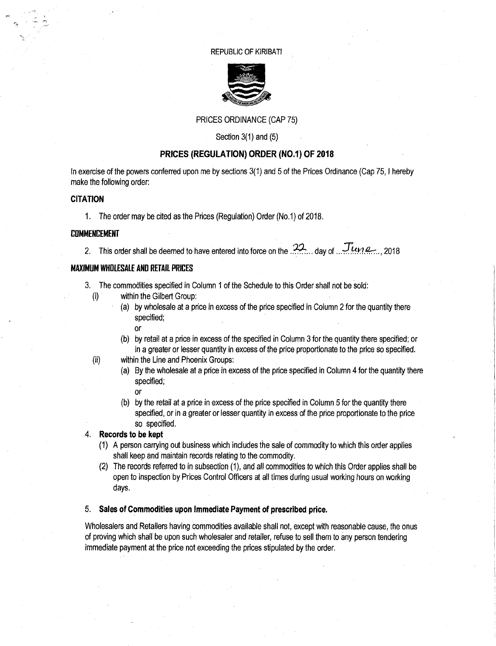#### REPUBLIC OF KIRIBATI



## PRICES ORDINANCE (CAP 75)

Section 3(1) and (5)

## **PRICES (REGULATION) ORDER (NO.1) OF 2018**

In exercise of the powers conferred upon me by sections 3(1) and 5 of the Prices Ordinance (Cap 75, I hereby make the following order:

#### **CITATION**

1. The order may be cited as the Prices (Regulation) Order (No.1) of 2018.

#### **COMMENCEMENT**

2. This order shall be deemed to have entered into force on the  $.22$ ... day of  $.$  June... 2018

#### **MAXIMUM WHOLESALE AND RETAIL PRICES**

- 3. The commodities specified in Column 1 of the Schedule to this Order shall not be sold:
	- (i) within the Gilbert Group:
		- (a) by wholesale at a price in excess of the price specified in Column 2 for the quantity there specified; or
		- (b) by retail at a price in excess of the specified in Column 3 for the quantity there specified; or in a greater or lesser quantity in excess of the price proportionate to the price so specified.
	- (ii) within the Line and Phoenix Groups:
		- (a) By the wholesale at a price in excess of the price specified in Column 4 for the quantity there specified;
			- or
		- (b) by the retail at a price in excess of the price specified in Column 5 for the quantity there specified, or in a greater or lesser quantity in excess of the price proportionate to the price so specified.

#### **Records to be kept**

- (1) A person carrying out business which includes the sale of commodity to which this order applies shall keep and maintain records relating to the commodity.
- (2) The records referred to in subsection (1), and all commodities to which this Order applies shall be open to inspection by Prices Control Officers at all times during usual working hours on working days.

#### 5. **Sales of Commodities upon Immediate Payment of prescribed price.**

Wholesalers and Retailers having commodities available shall not, except with reasonable cause, the onus of proving which shall be upon such wholesaler and retailer, refuse to sell them to any person tendering immediate payment at the price not exceeding the prices stipulated by the order.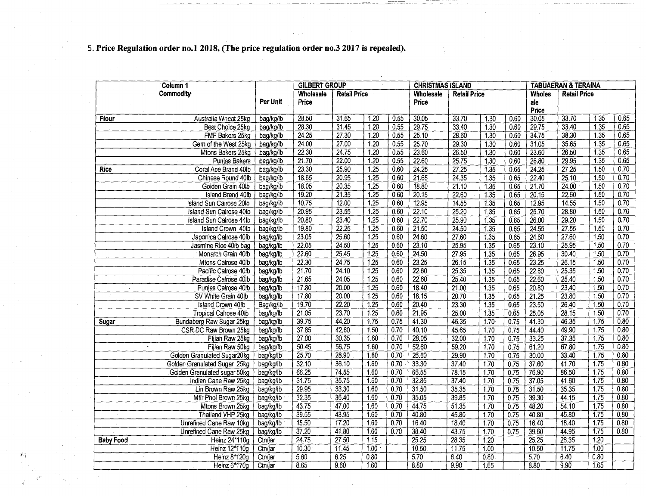# **5. Price Regulation order no.! 2018. (The price regulation order no.3 2017 is repealed).**

 $\hat{X}$ 

| Commodity<br>Wholesale<br><b>Retail Price</b><br>Wholesale<br><b>Retail Price</b><br><b>Wholes</b><br><b>Retail Price</b><br>Per Unit<br>Price<br>Price<br>ale<br>Price<br>30.05<br>28.50<br>31.65<br>$\overline{1.20}$<br>0.55<br>30.05<br>33.70<br>33.70<br>1.35<br>Australia Wheat 25kg<br>bag/kg/lb<br>1.30<br>0.60<br><b>Flour</b><br>29.75<br>28.30<br>$31\overline{45}$<br>$\overline{1.20}$<br>29.75<br>1.30<br>33.40<br>1.35<br>Best Choice 25kg<br>0.55<br>33.40<br>0.60<br>bag/kg/lb<br>24.25<br>27.30<br>25.10<br>34.75<br>1.35<br>0.65<br>FMF Bakers 25kg<br>1.20<br>0.55<br>28.60<br>1.30<br>38.30<br>bag/kg/lb<br>0.60<br>24.00<br>27.00<br>25.70<br>31.05<br>35.65<br>0.65<br>Gem of the West 25kg<br>1.20<br>0.55<br>29.30<br>1.30<br>1.35<br>bag/kg/lb<br>0.60<br>22.30<br>23.60<br>26.50<br>1.35<br>24.75<br>1.20<br>0.55<br>23.60<br>26.50<br>$\frac{1}{130}$<br>Mtons Bakers 25kg<br>bag/kg/lb<br>0.60<br>0.65<br>21.70<br>22.00<br>1.20<br>0.55<br>22.60<br>1.30<br>26.80<br>29 95<br>1.35<br>2575<br>0.60<br>Punjas Bakers<br>bag/kg/lb<br>23.30<br>25.90<br>$\overline{1.25}$<br>0.60<br>24.25<br>24.25<br>$\overline{27.25}$<br>$\overline{1.50}$<br>0.70<br>27.25<br>1.35<br>0.65<br><b>Rice</b><br>Coral Ace Brand 40lb<br>bag/kg/lb<br>21.65<br>0.70<br>18,65<br>20.95<br>1.25<br>0.60<br>22.40<br>25.10<br>1.50<br>Chinese Round 40lb<br>bag/kg/lb<br>24.35<br>$\overline{1.35}$<br>0.65<br>0.70<br>18.05<br>20.35<br>$\overline{125}$<br>0.60<br>18.80<br>21.70<br>24.00<br>1,50<br>Golden Grain 40lb<br>21.10<br>$\overline{1.35}$<br>0.65<br>bag/kg/lb<br>0.70<br>19.20<br>21.35<br>1.25<br>060<br>20.15<br>1.35<br>20.15<br>22.60<br>1.50<br>Island Brand 40lb<br>22.60<br>0.65<br>bag/kg/lb<br>0.70<br>10.75<br>12.00<br>1.25<br>0.60<br>12.95<br>12.95<br>14.55<br>$\overline{1.50}$<br>14.55<br>$\overline{1.35}$<br>0.65<br><b>Island Sun Calrose 20lb</b><br>bag/kg/lb<br>20.95<br>22.10<br>25.70<br>28.80<br>1.50<br>0.70<br>Island Sun Calrose 40lb<br>23.55<br>1.25<br>0.60<br>25.20<br>$\overline{1.35}$<br>bag/kg/lb<br>0.65<br>20.80<br>23.40<br>1.25<br>22.70<br>26.00<br>29.20<br>1.50<br>0.70<br>0.60<br>25.90<br>Island Sun Calrose 44lb<br>$\overline{1.35}$<br>0.65<br>bag/kg/lb<br>19.80<br>22.25<br>1.25<br>21.50<br>27.55<br>1.50<br>0.70<br><b>Island Crown 40lb</b><br>0.60<br>24.50<br>1,35<br>24.55<br>0.65<br>bag/kg/lb | Column 1              | <b>GILBERT GROUP</b> |       |      |      | <b>CHRISTMAS ISLAND</b> |       | <b>TABUAERAN &amp; TERAINA</b> |      |       |       |      |      |  |
|-----------------------------------------------------------------------------------------------------------------------------------------------------------------------------------------------------------------------------------------------------------------------------------------------------------------------------------------------------------------------------------------------------------------------------------------------------------------------------------------------------------------------------------------------------------------------------------------------------------------------------------------------------------------------------------------------------------------------------------------------------------------------------------------------------------------------------------------------------------------------------------------------------------------------------------------------------------------------------------------------------------------------------------------------------------------------------------------------------------------------------------------------------------------------------------------------------------------------------------------------------------------------------------------------------------------------------------------------------------------------------------------------------------------------------------------------------------------------------------------------------------------------------------------------------------------------------------------------------------------------------------------------------------------------------------------------------------------------------------------------------------------------------------------------------------------------------------------------------------------------------------------------------------------------------------------------------------------------------------------------------------------------------------------------------------------------------------------------------------------------------------------------------------------------------------------------------------------------------------------------------------------------------------------------------------------------------------------------------------------------------------|-----------------------|----------------------|-------|------|------|-------------------------|-------|--------------------------------|------|-------|-------|------|------|--|
|                                                                                                                                                                                                                                                                                                                                                                                                                                                                                                                                                                                                                                                                                                                                                                                                                                                                                                                                                                                                                                                                                                                                                                                                                                                                                                                                                                                                                                                                                                                                                                                                                                                                                                                                                                                                                                                                                                                                                                                                                                                                                                                                                                                                                                                                                                                                                                                   |                       |                      |       |      |      |                         |       |                                |      |       |       |      |      |  |
|                                                                                                                                                                                                                                                                                                                                                                                                                                                                                                                                                                                                                                                                                                                                                                                                                                                                                                                                                                                                                                                                                                                                                                                                                                                                                                                                                                                                                                                                                                                                                                                                                                                                                                                                                                                                                                                                                                                                                                                                                                                                                                                                                                                                                                                                                                                                                                                   |                       |                      |       |      |      |                         |       |                                |      |       |       |      | 0.65 |  |
|                                                                                                                                                                                                                                                                                                                                                                                                                                                                                                                                                                                                                                                                                                                                                                                                                                                                                                                                                                                                                                                                                                                                                                                                                                                                                                                                                                                                                                                                                                                                                                                                                                                                                                                                                                                                                                                                                                                                                                                                                                                                                                                                                                                                                                                                                                                                                                                   |                       |                      |       |      |      |                         |       |                                |      |       |       |      | 0.65 |  |
|                                                                                                                                                                                                                                                                                                                                                                                                                                                                                                                                                                                                                                                                                                                                                                                                                                                                                                                                                                                                                                                                                                                                                                                                                                                                                                                                                                                                                                                                                                                                                                                                                                                                                                                                                                                                                                                                                                                                                                                                                                                                                                                                                                                                                                                                                                                                                                                   |                       |                      |       |      |      |                         |       |                                |      |       |       |      |      |  |
|                                                                                                                                                                                                                                                                                                                                                                                                                                                                                                                                                                                                                                                                                                                                                                                                                                                                                                                                                                                                                                                                                                                                                                                                                                                                                                                                                                                                                                                                                                                                                                                                                                                                                                                                                                                                                                                                                                                                                                                                                                                                                                                                                                                                                                                                                                                                                                                   |                       |                      |       |      |      |                         |       |                                |      |       |       |      |      |  |
|                                                                                                                                                                                                                                                                                                                                                                                                                                                                                                                                                                                                                                                                                                                                                                                                                                                                                                                                                                                                                                                                                                                                                                                                                                                                                                                                                                                                                                                                                                                                                                                                                                                                                                                                                                                                                                                                                                                                                                                                                                                                                                                                                                                                                                                                                                                                                                                   |                       |                      |       |      |      |                         |       |                                |      |       |       |      | 0.65 |  |
|                                                                                                                                                                                                                                                                                                                                                                                                                                                                                                                                                                                                                                                                                                                                                                                                                                                                                                                                                                                                                                                                                                                                                                                                                                                                                                                                                                                                                                                                                                                                                                                                                                                                                                                                                                                                                                                                                                                                                                                                                                                                                                                                                                                                                                                                                                                                                                                   |                       |                      |       |      |      |                         |       |                                |      |       |       |      |      |  |
|                                                                                                                                                                                                                                                                                                                                                                                                                                                                                                                                                                                                                                                                                                                                                                                                                                                                                                                                                                                                                                                                                                                                                                                                                                                                                                                                                                                                                                                                                                                                                                                                                                                                                                                                                                                                                                                                                                                                                                                                                                                                                                                                                                                                                                                                                                                                                                                   |                       |                      |       |      |      |                         |       |                                |      |       |       |      |      |  |
|                                                                                                                                                                                                                                                                                                                                                                                                                                                                                                                                                                                                                                                                                                                                                                                                                                                                                                                                                                                                                                                                                                                                                                                                                                                                                                                                                                                                                                                                                                                                                                                                                                                                                                                                                                                                                                                                                                                                                                                                                                                                                                                                                                                                                                                                                                                                                                                   |                       |                      |       |      |      |                         |       |                                |      |       |       |      |      |  |
|                                                                                                                                                                                                                                                                                                                                                                                                                                                                                                                                                                                                                                                                                                                                                                                                                                                                                                                                                                                                                                                                                                                                                                                                                                                                                                                                                                                                                                                                                                                                                                                                                                                                                                                                                                                                                                                                                                                                                                                                                                                                                                                                                                                                                                                                                                                                                                                   |                       |                      |       |      |      |                         |       |                                |      |       |       |      |      |  |
|                                                                                                                                                                                                                                                                                                                                                                                                                                                                                                                                                                                                                                                                                                                                                                                                                                                                                                                                                                                                                                                                                                                                                                                                                                                                                                                                                                                                                                                                                                                                                                                                                                                                                                                                                                                                                                                                                                                                                                                                                                                                                                                                                                                                                                                                                                                                                                                   |                       |                      |       |      |      |                         |       |                                |      |       |       |      |      |  |
|                                                                                                                                                                                                                                                                                                                                                                                                                                                                                                                                                                                                                                                                                                                                                                                                                                                                                                                                                                                                                                                                                                                                                                                                                                                                                                                                                                                                                                                                                                                                                                                                                                                                                                                                                                                                                                                                                                                                                                                                                                                                                                                                                                                                                                                                                                                                                                                   |                       |                      |       |      |      |                         |       |                                |      |       |       |      |      |  |
|                                                                                                                                                                                                                                                                                                                                                                                                                                                                                                                                                                                                                                                                                                                                                                                                                                                                                                                                                                                                                                                                                                                                                                                                                                                                                                                                                                                                                                                                                                                                                                                                                                                                                                                                                                                                                                                                                                                                                                                                                                                                                                                                                                                                                                                                                                                                                                                   |                       |                      |       |      |      |                         |       |                                |      |       |       |      |      |  |
|                                                                                                                                                                                                                                                                                                                                                                                                                                                                                                                                                                                                                                                                                                                                                                                                                                                                                                                                                                                                                                                                                                                                                                                                                                                                                                                                                                                                                                                                                                                                                                                                                                                                                                                                                                                                                                                                                                                                                                                                                                                                                                                                                                                                                                                                                                                                                                                   |                       |                      |       |      |      |                         |       |                                |      |       |       |      |      |  |
|                                                                                                                                                                                                                                                                                                                                                                                                                                                                                                                                                                                                                                                                                                                                                                                                                                                                                                                                                                                                                                                                                                                                                                                                                                                                                                                                                                                                                                                                                                                                                                                                                                                                                                                                                                                                                                                                                                                                                                                                                                                                                                                                                                                                                                                                                                                                                                                   |                       |                      |       |      |      |                         |       |                                |      |       |       |      |      |  |
| bag/kg/lb                                                                                                                                                                                                                                                                                                                                                                                                                                                                                                                                                                                                                                                                                                                                                                                                                                                                                                                                                                                                                                                                                                                                                                                                                                                                                                                                                                                                                                                                                                                                                                                                                                                                                                                                                                                                                                                                                                                                                                                                                                                                                                                                                                                                                                                                                                                                                                         | Japonica Calrose 40lb | 23.05                | 25.60 | 1.25 | 0.60 | 24.60                   | 27.60 | $\overline{1,35}$              | 0.65 | 24.60 | 27.60 | 1.50 | 0.70 |  |
| 23.10<br>22.05<br>24.50<br>1.25<br>0.60<br>25.95<br>23.10<br>25.95<br>1.50<br>0.70<br>Jasmine Rice 40lb bag<br>1.35<br>0.65<br>bag/kg/lb                                                                                                                                                                                                                                                                                                                                                                                                                                                                                                                                                                                                                                                                                                                                                                                                                                                                                                                                                                                                                                                                                                                                                                                                                                                                                                                                                                                                                                                                                                                                                                                                                                                                                                                                                                                                                                                                                                                                                                                                                                                                                                                                                                                                                                          |                       |                      |       |      |      |                         |       |                                |      |       |       |      |      |  |
| 24.50<br>30.40<br>0.70<br>22.60<br>$25.\overline{45}$<br>1.25<br>0.60<br>27.95<br>1,35<br>26.95<br>1.50<br>Monarch Grain 40lb<br>0.65<br>bag/kg/lb                                                                                                                                                                                                                                                                                                                                                                                                                                                                                                                                                                                                                                                                                                                                                                                                                                                                                                                                                                                                                                                                                                                                                                                                                                                                                                                                                                                                                                                                                                                                                                                                                                                                                                                                                                                                                                                                                                                                                                                                                                                                                                                                                                                                                                |                       |                      |       |      |      |                         |       |                                |      |       |       |      |      |  |
| 22.30<br>24.75<br>1.25<br>0.60<br>23.25<br>23.25<br>26.15<br>1.50<br>0.70<br>Mtons Calrose 40lb<br>26.15<br>1.35<br>0.65<br>bag/kg/lb                                                                                                                                                                                                                                                                                                                                                                                                                                                                                                                                                                                                                                                                                                                                                                                                                                                                                                                                                                                                                                                                                                                                                                                                                                                                                                                                                                                                                                                                                                                                                                                                                                                                                                                                                                                                                                                                                                                                                                                                                                                                                                                                                                                                                                             |                       |                      |       |      |      |                         |       |                                |      |       |       |      |      |  |
| 21.70<br>24.10<br>1.25<br>0.60<br>22.60<br>22.60<br>25.35<br>1.50<br>0.70<br>Pacific Calrose 40lb<br>25.35<br>1.35<br>0.65<br>bag/kg/lb                                                                                                                                                                                                                                                                                                                                                                                                                                                                                                                                                                                                                                                                                                                                                                                                                                                                                                                                                                                                                                                                                                                                                                                                                                                                                                                                                                                                                                                                                                                                                                                                                                                                                                                                                                                                                                                                                                                                                                                                                                                                                                                                                                                                                                           |                       |                      |       |      |      |                         |       |                                |      |       |       |      |      |  |
| 1.25<br>22.60<br>25.40<br>21.65<br>24.05<br>0.60<br>25.40<br>1.35<br>0.65<br>22.60<br>1.50<br>0.70<br>Paradise Calrose 40lb<br>bag/kg/lb                                                                                                                                                                                                                                                                                                                                                                                                                                                                                                                                                                                                                                                                                                                                                                                                                                                                                                                                                                                                                                                                                                                                                                                                                                                                                                                                                                                                                                                                                                                                                                                                                                                                                                                                                                                                                                                                                                                                                                                                                                                                                                                                                                                                                                          |                       |                      |       |      |      |                         |       |                                |      |       |       |      |      |  |
| 17.80<br>20.00<br>18.40<br>20.80<br>23.40<br>0.70<br>Punjas Calrose 40lb<br>1.25<br>0.60<br>21.00<br>1.50<br>bag/kg/lb<br>1.35<br>0.65<br>$\sim$                                                                                                                                                                                                                                                                                                                                                                                                                                                                                                                                                                                                                                                                                                                                                                                                                                                                                                                                                                                                                                                                                                                                                                                                                                                                                                                                                                                                                                                                                                                                                                                                                                                                                                                                                                                                                                                                                                                                                                                                                                                                                                                                                                                                                                  |                       |                      |       |      |      |                         |       |                                |      |       |       |      |      |  |
| 20.00<br>23.80<br>0.70<br>17.80<br>1.25<br>0.60<br>18.15<br>1.50<br>SV White Grain 40lb<br>20.70<br>1.35<br>0.65<br>21.25<br>bag/kg/lb                                                                                                                                                                                                                                                                                                                                                                                                                                                                                                                                                                                                                                                                                                                                                                                                                                                                                                                                                                                                                                                                                                                                                                                                                                                                                                                                                                                                                                                                                                                                                                                                                                                                                                                                                                                                                                                                                                                                                                                                                                                                                                                                                                                                                                            |                       |                      |       |      |      |                         |       |                                |      |       |       |      |      |  |
| 19.70<br>22.20<br>0.60<br>20.40<br>26.40<br>0.70<br>Island Crown 40lb<br>1.25<br>23.30<br>1.35<br>0.65<br>23.50<br>1.50<br>Bag/kg/lb                                                                                                                                                                                                                                                                                                                                                                                                                                                                                                                                                                                                                                                                                                                                                                                                                                                                                                                                                                                                                                                                                                                                                                                                                                                                                                                                                                                                                                                                                                                                                                                                                                                                                                                                                                                                                                                                                                                                                                                                                                                                                                                                                                                                                                              |                       |                      |       |      |      |                         |       |                                |      |       |       |      |      |  |
| 21.95<br>21.05<br>23.70<br>0.60<br>28.15<br>0.70<br>1.25<br>1.35<br>25.05<br>1.50<br><b>Tropical Calrose 40lb</b><br>25.00<br>0.65<br>bag/kg/lb                                                                                                                                                                                                                                                                                                                                                                                                                                                                                                                                                                                                                                                                                                                                                                                                                                                                                                                                                                                                                                                                                                                                                                                                                                                                                                                                                                                                                                                                                                                                                                                                                                                                                                                                                                                                                                                                                                                                                                                                                                                                                                                                                                                                                                   |                       |                      |       |      |      |                         |       |                                |      |       |       |      |      |  |
| 39.75<br>41.30<br>0.80<br>Bundaberg Raw Sugar 25kg<br>44.20<br>1.75<br>0.75<br>0.75<br>41.30<br>46.35<br>1.75<br>bag/kg/lb<br>46.35<br>1.70<br>Sugar                                                                                                                                                                                                                                                                                                                                                                                                                                                                                                                                                                                                                                                                                                                                                                                                                                                                                                                                                                                                                                                                                                                                                                                                                                                                                                                                                                                                                                                                                                                                                                                                                                                                                                                                                                                                                                                                                                                                                                                                                                                                                                                                                                                                                              |                       |                      |       |      |      |                         |       |                                |      |       |       |      |      |  |
| 37.85<br>0.80<br>CSR DC Raw Brown 25kg<br>42.60<br>0.70<br>40.10<br>49.90<br>1.75<br>1.50<br>45.65<br>1.70<br>0.75<br>44.40<br>bag/kg/lb                                                                                                                                                                                                                                                                                                                                                                                                                                                                                                                                                                                                                                                                                                                                                                                                                                                                                                                                                                                                                                                                                                                                                                                                                                                                                                                                                                                                                                                                                                                                                                                                                                                                                                                                                                                                                                                                                                                                                                                                                                                                                                                                                                                                                                          |                       |                      |       |      |      |                         |       |                                |      |       |       |      |      |  |
| 0.80<br>27.00<br>30.35<br>0.70<br>28.05<br>33.25<br>37.35<br>1.75<br>1.60<br>32.00<br>0.75<br>Fijian Raw 25kg<br>bag/kg/lb<br>1.70                                                                                                                                                                                                                                                                                                                                                                                                                                                                                                                                                                                                                                                                                                                                                                                                                                                                                                                                                                                                                                                                                                                                                                                                                                                                                                                                                                                                                                                                                                                                                                                                                                                                                                                                                                                                                                                                                                                                                                                                                                                                                                                                                                                                                                                |                       |                      |       |      |      |                         |       |                                |      |       |       |      |      |  |
| 5045<br>56.75<br>52.60<br>0.80<br>Fijian Raw 50kg<br>1.60<br>0.70<br>59.20<br>$\overline{1.70}$<br>61.20<br>67.80<br>1.75<br>bag/kg/lb<br>0.75                                                                                                                                                                                                                                                                                                                                                                                                                                                                                                                                                                                                                                                                                                                                                                                                                                                                                                                                                                                                                                                                                                                                                                                                                                                                                                                                                                                                                                                                                                                                                                                                                                                                                                                                                                                                                                                                                                                                                                                                                                                                                                                                                                                                                                    |                       |                      |       |      |      |                         |       |                                |      |       |       |      |      |  |
| 26.60<br>0.80<br>2570<br>28.90<br>1.60<br>0.70<br>30.00<br>33.40<br>1.75<br>Golden Granulated Sugar20kg<br>29.90<br>1.70<br>0.75<br>bag/kg/lb                                                                                                                                                                                                                                                                                                                                                                                                                                                                                                                                                                                                                                                                                                                                                                                                                                                                                                                                                                                                                                                                                                                                                                                                                                                                                                                                                                                                                                                                                                                                                                                                                                                                                                                                                                                                                                                                                                                                                                                                                                                                                                                                                                                                                                     |                       |                      |       |      |      |                         |       |                                |      |       |       |      |      |  |
| 33.30<br>0.80<br>32.10<br>36.10<br>0,70<br>37.40<br>37.60<br>41.70<br>Golden Granulated Sugar 25kg<br>bag/kg/lb<br>1.60<br>1.70<br>0.75<br>1.75                                                                                                                                                                                                                                                                                                                                                                                                                                                                                                                                                                                                                                                                                                                                                                                                                                                                                                                                                                                                                                                                                                                                                                                                                                                                                                                                                                                                                                                                                                                                                                                                                                                                                                                                                                                                                                                                                                                                                                                                                                                                                                                                                                                                                                   |                       |                      |       |      |      |                         |       |                                |      |       |       |      |      |  |
| 66.25<br>74.55<br>0.70<br>66.55<br>76.90<br>1.75<br>0.80<br>Golden Granulated sugar 50kg<br>$\overline{1.60}$<br>78.15<br>1.70<br>0.75<br>86.50<br>bag/kg/lb                                                                                                                                                                                                                                                                                                                                                                                                                                                                                                                                                                                                                                                                                                                                                                                                                                                                                                                                                                                                                                                                                                                                                                                                                                                                                                                                                                                                                                                                                                                                                                                                                                                                                                                                                                                                                                                                                                                                                                                                                                                                                                                                                                                                                      |                       |                      |       |      |      |                         |       |                                |      |       |       |      |      |  |
| 31.75<br>35.75<br>0.70<br>32.85<br>37.05<br>41.60<br>$\overline{1.75}$<br>0.80<br>1.60<br>37.40<br>1.70<br>0.75<br>Indian Cane Raw 25kg<br>bag/kg/lb                                                                                                                                                                                                                                                                                                                                                                                                                                                                                                                                                                                                                                                                                                                                                                                                                                                                                                                                                                                                                                                                                                                                                                                                                                                                                                                                                                                                                                                                                                                                                                                                                                                                                                                                                                                                                                                                                                                                                                                                                                                                                                                                                                                                                              |                       |                      |       |      |      |                         |       |                                |      |       |       |      |      |  |
| 31.50<br>35.35<br>Lin Brown Raw 25kg<br>29.95<br>33.30<br>1.60<br>0.70<br>35.35<br>31.50<br>$\overline{1.75}$<br>0.80<br>bag/kg/lb<br>1.70<br>0.75                                                                                                                                                                                                                                                                                                                                                                                                                                                                                                                                                                                                                                                                                                                                                                                                                                                                                                                                                                                                                                                                                                                                                                                                                                                                                                                                                                                                                                                                                                                                                                                                                                                                                                                                                                                                                                                                                                                                                                                                                                                                                                                                                                                                                                |                       |                      |       |      |      |                         |       |                                |      |       |       |      |      |  |
| 36.40<br>1.60<br>0.70<br>35.05<br>1.75<br>0.80<br>Mtir Phol Brown 25kg<br>bag/kg/lb<br>32.35<br>39.85<br>39.30<br>44.15<br>1.70<br>0.75                                                                                                                                                                                                                                                                                                                                                                                                                                                                                                                                                                                                                                                                                                                                                                                                                                                                                                                                                                                                                                                                                                                                                                                                                                                                                                                                                                                                                                                                                                                                                                                                                                                                                                                                                                                                                                                                                                                                                                                                                                                                                                                                                                                                                                           |                       |                      |       |      |      |                         |       |                                |      |       |       |      |      |  |
| 47.00<br>0.70<br>44.75<br>$\overline{1.75}$<br>0.80<br>Mtons Brown 25kg<br>43.75<br>1.60<br>51.35<br>0.75<br>48.20<br>54.10<br>bag/kg/lb<br>1.70                                                                                                                                                                                                                                                                                                                                                                                                                                                                                                                                                                                                                                                                                                                                                                                                                                                                                                                                                                                                                                                                                                                                                                                                                                                                                                                                                                                                                                                                                                                                                                                                                                                                                                                                                                                                                                                                                                                                                                                                                                                                                                                                                                                                                                  |                       |                      |       |      |      |                         |       |                                |      |       |       |      |      |  |
| 39.55<br>43.95<br>1.60<br>0.70<br>40.80<br>45.80<br>0.75<br>40.80<br>45.80<br>1.75<br>0.80<br>Thailand VHP 25kg<br>bag/kg/lb<br>1.70                                                                                                                                                                                                                                                                                                                                                                                                                                                                                                                                                                                                                                                                                                                                                                                                                                                                                                                                                                                                                                                                                                                                                                                                                                                                                                                                                                                                                                                                                                                                                                                                                                                                                                                                                                                                                                                                                                                                                                                                                                                                                                                                                                                                                                              |                       |                      |       |      |      |                         |       |                                |      |       |       |      |      |  |
| 16.40<br>1.75<br>0.80<br>15.50<br>17.20<br>0.70<br>16.40<br>1.60<br>18.40<br>1.70<br>0.75<br>18.40<br>Unrefined Cane Raw 10kg<br>bag/kg/lb                                                                                                                                                                                                                                                                                                                                                                                                                                                                                                                                                                                                                                                                                                                                                                                                                                                                                                                                                                                                                                                                                                                                                                                                                                                                                                                                                                                                                                                                                                                                                                                                                                                                                                                                                                                                                                                                                                                                                                                                                                                                                                                                                                                                                                        |                       |                      |       |      |      |                         |       |                                |      |       |       |      |      |  |
| 37.20<br>41.80<br>1.60<br>0.70<br>38.40<br>43.75<br>39.60<br>44.95<br>1.75<br>0.80<br>Unrefined Cane Raw 25kg<br>bag/kg/lb<br>1.70<br>0.75                                                                                                                                                                                                                                                                                                                                                                                                                                                                                                                                                                                                                                                                                                                                                                                                                                                                                                                                                                                                                                                                                                                                                                                                                                                                                                                                                                                                                                                                                                                                                                                                                                                                                                                                                                                                                                                                                                                                                                                                                                                                                                                                                                                                                                        |                       |                      |       |      |      |                         |       |                                |      |       |       |      |      |  |
| 24.75<br>25.25<br>28.35<br>1.20<br>Heinz 24*110g<br>27.50<br>1.15<br>28.35<br>1.20<br>25.25<br><b>Baby Food</b><br>Ctn/jar                                                                                                                                                                                                                                                                                                                                                                                                                                                                                                                                                                                                                                                                                                                                                                                                                                                                                                                                                                                                                                                                                                                                                                                                                                                                                                                                                                                                                                                                                                                                                                                                                                                                                                                                                                                                                                                                                                                                                                                                                                                                                                                                                                                                                                                        |                       |                      |       |      |      |                         |       |                                |      |       |       |      |      |  |
| 10.30<br>11.45<br>1,00<br>1.00<br>1.00<br>Heinz 12*110g<br>10.50<br>11.75<br>10.50<br>11.75<br>Ctn/jar                                                                                                                                                                                                                                                                                                                                                                                                                                                                                                                                                                                                                                                                                                                                                                                                                                                                                                                                                                                                                                                                                                                                                                                                                                                                                                                                                                                                                                                                                                                                                                                                                                                                                                                                                                                                                                                                                                                                                                                                                                                                                                                                                                                                                                                                            |                       |                      |       |      |      |                         |       |                                |      |       |       |      |      |  |
| 5.60<br>6.25<br>0.80<br>0.80<br>5.70<br>6.40<br>0.80<br>5.70<br>6.40<br>Heinz 8*120g<br>Ctn/jar                                                                                                                                                                                                                                                                                                                                                                                                                                                                                                                                                                                                                                                                                                                                                                                                                                                                                                                                                                                                                                                                                                                                                                                                                                                                                                                                                                                                                                                                                                                                                                                                                                                                                                                                                                                                                                                                                                                                                                                                                                                                                                                                                                                                                                                                                   |                       |                      |       |      |      |                         |       |                                |      |       |       |      |      |  |
| 8.80<br>Heinz 6*170g<br>8.65<br>9.60<br>1.60<br>9.90<br>165<br>8.80<br>9.90<br>1.65<br>Ctn/jar                                                                                                                                                                                                                                                                                                                                                                                                                                                                                                                                                                                                                                                                                                                                                                                                                                                                                                                                                                                                                                                                                                                                                                                                                                                                                                                                                                                                                                                                                                                                                                                                                                                                                                                                                                                                                                                                                                                                                                                                                                                                                                                                                                                                                                                                                    |                       |                      |       |      |      |                         |       |                                |      |       |       |      |      |  |